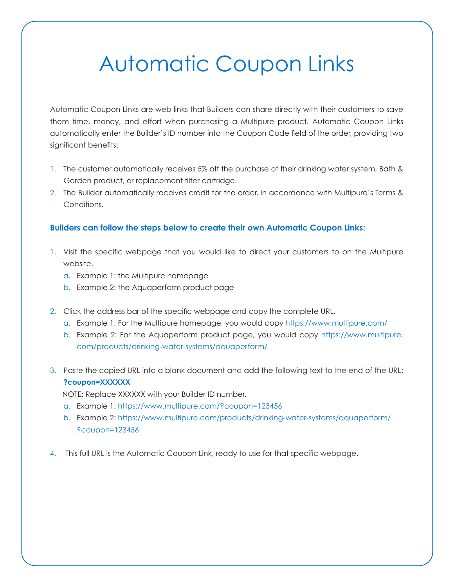# Automatic Coupon Links

Automatic Coupon Links are web links that Builders can share directly with their customers to save them time, money, and effort when purchasing a Multipure product. Automatic Coupon Links automatically enter the Builder's ID number into the Coupon Code field of the order, providing two significant benefits:

- 1. The customer automatically receives 5% off the purchase of their drinking water system, Bath & Garden product, or replacement filter cartridge.
- 2. The Builder automatically receives credit for the order, in accordance with Multipure's Terms & Conditions.

# **Builders can follow the steps below to create their own Automatic Coupon Links:**

- 1. Visit the specific webpage that you would like to direct your customers to on the Multipure website.
	- a. Example 1: the Multipure homepage
	- b. Example 2: the Aquaperform product page
- 2. Click the address bar of the specific webpage and copy the complete URL.
	- a. Example 1: For the Multipure homepage, you would copy https://www.multipure.com/
	- b. Example 2: For the Aquaperform product page, you would copy https://www.multipure. com/products/drinking-water-systems/aquaperform/
- 3. Paste the copied URL into a blank document and add the following text to the end of the URL: **?coupon=XXXXXX**

NOTE: Replace XXXXXX with your Builder ID number.

- a. Example 1: https://www.multipure.com/?coupon=123456
- b. Example 2: https://www.multipure.com/products/drinking-water-systems/aquaperform/ ?coupon=123456
- 4. This full URL is the Automatic Coupon Link, ready to use for that specific webpage.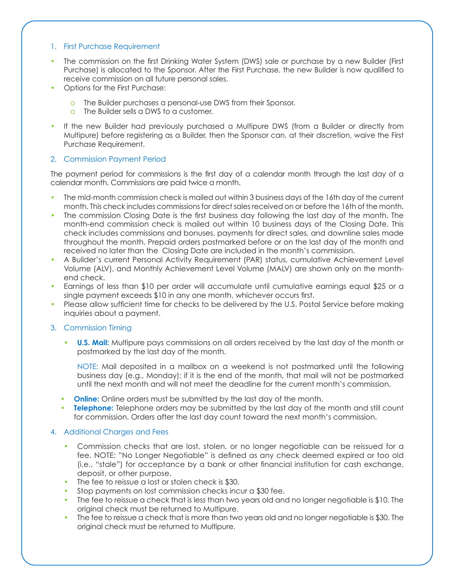#### 1. First Purchase Requirement

- The commission on the first Drinking Water System (DWS) sale or purchase by a new Builder (First Purchase) is allocated to the Sponsor. After the First Purchase, the new Builder is now qualified to receive commission on all future personal sales.
- Options for the First Purchase:
	- o The Builder purchases a personal-use DWS from their Sponsor.
	- o The Builder sells a DWS to a customer.
- If the new Builder had previously purchased a Multipure DWS (from a Builder or directly from Multipure) before registering as a Builder, then the Sponsor can, at their discretion, waive the First Purchase Requirement.

## 2. Commission Payment Period

The payment period for commissions is the first day of a calendar month through the last day of a calendar month. Commissions are paid twice a month.

- The mid-month commission check is mailed out within 3 business days of the 16th day of the current month. This check includes commissions for direct sales received on or before the 16th of the month.
- The commission Closing Date is the first business day following the last day of the month. The month-end commission check is mailed out within 10 business days of the Closing Date. This check includes commissions and bonuses, payments for direct sales, and downline sales made throughout the month. Prepaid orders postmarked before or on the last day of the month and received no later than the Closing Date are included in the month's commission.
- A Builder's current Personal Activity Requirement (PAR) status, cumulative Achievement Level Volume (ALV), and Monthly Achievement Level Volume (MALV) are shown only on the monthend check.
- Earnings of less than \$10 per order will accumulate until cumulative earnings equal \$25 or a single payment exceeds \$10 in any one month, whichever occurs first.
- Please allow sufficient time for checks to be delivered by the U.S. Postal Service before making inquiries about a payment.

## 3. Commission Timing

**• U.S. Mail:** Multipure pays commissions on all orders received by the last day of the month or postmarked by the last day of the month.

NOTE: Mail deposited in a mailbox on a weekend is not postmarked until the following business day (e.g., Monday); if it is the end of the month, that mail will not be postmarked until the next month and will not meet the deadline for the current month's commission.

- **•• Online:** Online orders must be submitted by the last day of the month.
- **• Telephone:** Telephone orders may be submitted by the last day of the month and still count for commission. Orders after the last day count toward the next month's commission.

## 4. Additional Charges and Fees

- Commission checks that are lost, stolen, or no longer negotiable can be reissued for a fee. NOTE: "No Longer Negotiable" is defined as any check deemed expired or too old (i.e., "stale") for acceptance by a bank or other financial institution for cash exchange, deposit, or other purpose.
- The fee to reissue a lost or stolen check is \$30.
- Stop payments on lost commission checks incur a \$30 fee.
- The fee to reissue a check that is less than two years old and no longer negotiable is \$10. The original check must be returned to Multipure.
- The fee to reissue a check that is more than two years old and no longer negotiable is \$30. The original check must be returned to Multipure.